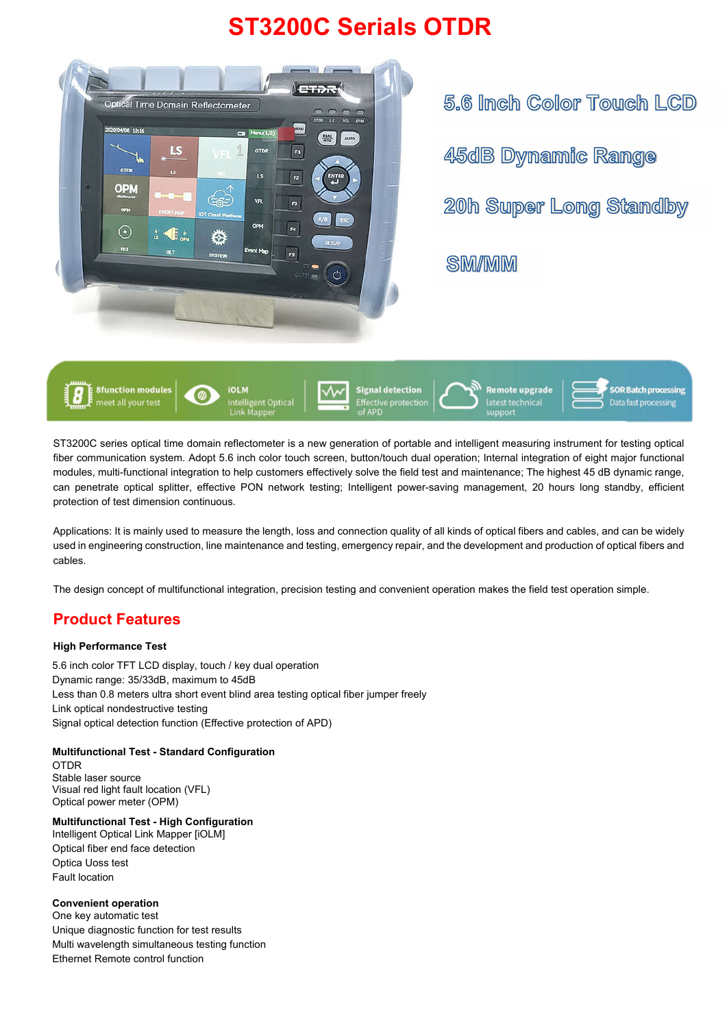# **ST3200C Serials OTDR**



5.6 Inch Color Touch LCD 45dB Dynamic Range 20h Super Long Standby **SM/MM** 



ST3200C series optical time domain reflectometer is a new generation of portable and intelligent measuring instrument for testing optical fiber communication system. Adopt 5.6 inch color touch screen, button/touch dual operation; Internal integration of eight major functional modules, multi-functional integration to help customers effectively solve the field test and maintenance; The highest 45 dB dynamic range, can penetrate optical splitter, effective PON network testing; Intelligent power-saving management, 20 hours long standby, efficient protection of test dimension continuous.

Applications: It is mainly used to measure the length, loss and connection quality of all kinds of optical fibers and cables, and can be widely used in engineering construction, line maintenance and testing, emergency repair, and the development and production of optical fibers and cables.

The design concept of multifunctional integration, precision testing and convenient operation makes the field test operation simple.

### **Product Features**

#### **High Performance Test**

5.6 inch color TFT LCD display, touch / key dual operation Dynamic range: 35/33dB, maximum to 45dB Less than 0.8 meters ultra short event blind area testing optical fiber jumper freely Link optical nondestructive testing Signal optical detection function (Effective protection of APD)

### **Multifunctional Test - Standard Configuration**

OTDR

Stable laser source Visual red light fault location (VFL) Optical power meter (OPM)

#### **Multifunctional Test - High Configuration** Intelligent Optical Link Mapper [iOLM]

Optical fiber end face detection

Optica Uoss test

Fault location

### **Convenient operation**

One key automatic test Unique diagnostic function for test results Multi wavelength simultaneous testing function Ethernet Remote control function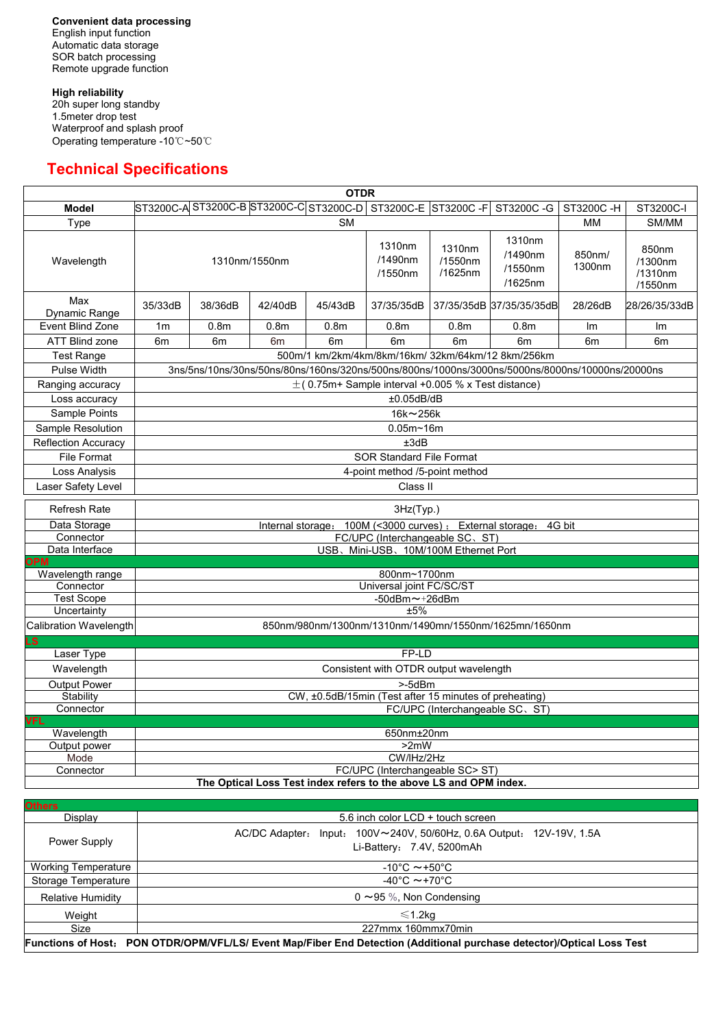**Convenient data processing** English input function Automatic data storage SOR batch processing Remote upgrade function

**High reliability** 20h super long standby 1.5meter drop test Waterproof and splash proof Operating temperature -10℃~50℃

# **Technical Specifications**

| <b>OTDR</b>                    |                                                                                                 |                                                        |                  |                                            |                              |                              |                                         |                  |                                        |  |
|--------------------------------|-------------------------------------------------------------------------------------------------|--------------------------------------------------------|------------------|--------------------------------------------|------------------------------|------------------------------|-----------------------------------------|------------------|----------------------------------------|--|
| <b>Model</b>                   |                                                                                                 |                                                        |                  | ST3200C-A  ST3200C-B  ST3200C-C  ST3200C-D | ST3200C-E ST3200C-F          |                              | ST3200C-G                               | ST3200C-H        | ST3200C-I                              |  |
| <b>Type</b>                    | <b>SM</b>                                                                                       |                                                        |                  |                                            |                              |                              | МM                                      | SM/MM            |                                        |  |
| Wavelength                     | 1310nm/1550nm                                                                                   |                                                        |                  |                                            | 1310nm<br>/1490nm<br>/1550nm | 1310nm<br>/1550nm<br>/1625nm | 1310nm<br>/1490nm<br>/1550nm<br>/1625nm | 850nm/<br>1300nm | 850nm<br>/1300nm<br>/1310nm<br>/1550nm |  |
| Max<br><b>Dynamic Range</b>    | 35/33dB                                                                                         | 38/36dB                                                | 42/40dB          | 45/43dB                                    | 37/35/35dB                   |                              | 37/35/35dB 37/35/35/35dB                | 28/26dB          | 28/26/35/33dB                          |  |
| <b>Event Blind Zone</b>        | 1 <sub>m</sub>                                                                                  | 0.8 <sub>m</sub>                                       | 0.8 <sub>m</sub> | 0.8 <sub>m</sub>                           | 0.8 <sub>m</sub>             | 0.8 <sub>m</sub>             | 0.8 <sub>m</sub>                        | Im               | Im                                     |  |
| <b>ATT Blind zone</b>          | 6 <sub>m</sub>                                                                                  | 6 <sub>m</sub>                                         | 6 <sub>m</sub>   | 6 <sub>m</sub>                             | 6 <sub>m</sub>               | 6 <sub>m</sub>               | 6 <sub>m</sub>                          | 6 <sub>m</sub>   | 6 <sub>m</sub>                         |  |
| <b>Test Range</b>              | 500m/1 km/2km/4km/8km/16km/ 32km/64km/12 8km/256km                                              |                                                        |                  |                                            |                              |                              |                                         |                  |                                        |  |
| <b>Pulse Width</b>             | 3ns/5ns/10ns/30ns/50ns/80ns/160ns/320ns/500ns/800ns/1000ns/3000ns/5000ns/8000ns/10000ns/20000ns |                                                        |                  |                                            |                              |                              |                                         |                  |                                        |  |
| Ranging accuracy               | $\pm$ (0.75m+ Sample interval +0.005 % x Test distance)                                         |                                                        |                  |                                            |                              |                              |                                         |                  |                                        |  |
| Loss accuracy                  | ±0.05dB/dB                                                                                      |                                                        |                  |                                            |                              |                              |                                         |                  |                                        |  |
| Sample Points                  | 16k~256k                                                                                        |                                                        |                  |                                            |                              |                              |                                         |                  |                                        |  |
| <b>Sample Resolution</b>       | $0.05m - 16m$                                                                                   |                                                        |                  |                                            |                              |                              |                                         |                  |                                        |  |
| <b>Reflection Accuracy</b>     | ±3dB                                                                                            |                                                        |                  |                                            |                              |                              |                                         |                  |                                        |  |
| <b>File Format</b>             | <b>SOR Standard File Format</b>                                                                 |                                                        |                  |                                            |                              |                              |                                         |                  |                                        |  |
| Loss Analysis                  | 4-point method /5-point method                                                                  |                                                        |                  |                                            |                              |                              |                                         |                  |                                        |  |
| Laser Safety Level             | Class II                                                                                        |                                                        |                  |                                            |                              |                              |                                         |                  |                                        |  |
| <b>Refresh Rate</b>            | 3Hz(Typ.)                                                                                       |                                                        |                  |                                            |                              |                              |                                         |                  |                                        |  |
| Data Storage                   | 100M (<3000 curves) ;<br>External storage: 4G bit<br>Internal storage:                          |                                                        |                  |                                            |                              |                              |                                         |                  |                                        |  |
| Connector                      | FC/UPC (Interchangeable SC, ST)                                                                 |                                                        |                  |                                            |                              |                              |                                         |                  |                                        |  |
| Data Interface                 |                                                                                                 | USB、Mini-USB、10M/100M Ethernet Port                    |                  |                                            |                              |                              |                                         |                  |                                        |  |
| <b>OPM</b><br>Wavelength range |                                                                                                 |                                                        |                  |                                            |                              |                              |                                         |                  |                                        |  |
| Connector                      | 800nm~1700nm<br>Universal joint FC/SC/ST                                                        |                                                        |                  |                                            |                              |                              |                                         |                  |                                        |  |
| <b>Test Scope</b>              | $-50$ dBm $\sim$ $+26$ dBm                                                                      |                                                        |                  |                                            |                              |                              |                                         |                  |                                        |  |
| Uncertainty                    |                                                                                                 | ±5%                                                    |                  |                                            |                              |                              |                                         |                  |                                        |  |
| Calibration Wavelength         | 850nm/980nm/1300nm/1310nm/1490mn/1550nm/1625mn/1650nm                                           |                                                        |                  |                                            |                              |                              |                                         |                  |                                        |  |
| LS                             |                                                                                                 |                                                        |                  |                                            |                              |                              |                                         |                  |                                        |  |
| Laser Type                     | FP-LD                                                                                           |                                                        |                  |                                            |                              |                              |                                         |                  |                                        |  |
| Wavelength                     | Consistent with OTDR output wavelength                                                          |                                                        |                  |                                            |                              |                              |                                         |                  |                                        |  |
| <b>Output Power</b>            | $>$ -5dBm                                                                                       |                                                        |                  |                                            |                              |                              |                                         |                  |                                        |  |
| <b>Stability</b>               |                                                                                                 | CW, ±0.5dB/15min (Test after 15 minutes of preheating) |                  |                                            |                              |                              |                                         |                  |                                        |  |
| <b>VFL</b>                     | Connector<br>FC/UPC (Interchangeable SC, ST)                                                    |                                                        |                  |                                            |                              |                              |                                         |                  |                                        |  |
| Wavelength                     |                                                                                                 |                                                        |                  |                                            | 650nm±20nm                   |                              |                                         |                  |                                        |  |
| Output power                   | $>2$ mW                                                                                         |                                                        |                  |                                            |                              |                              |                                         |                  |                                        |  |
| Mode                           | CW/IHz/2Hz                                                                                      |                                                        |                  |                                            |                              |                              |                                         |                  |                                        |  |
| Connector                      | FC/UPC (Interchangeable SC> ST)                                                                 |                                                        |                  |                                            |                              |                              |                                         |                  |                                        |  |

| <b>Others</b>                                                                                                          |                                                                                                                        |  |  |  |  |  |
|------------------------------------------------------------------------------------------------------------------------|------------------------------------------------------------------------------------------------------------------------|--|--|--|--|--|
| Display                                                                                                                | 5.6 inch color LCD + touch screen                                                                                      |  |  |  |  |  |
| <b>Power Supply</b>                                                                                                    | Input: $100V \sim 240V$ , 50/60Hz, 0.6A Output:<br>12V-19V, 1.5A<br><b>AC/DC Adapter:</b><br>Li-Battery: 7.4V, 5200mAh |  |  |  |  |  |
| <b>Working Temperature</b>                                                                                             | $-10^{\circ}$ C $\sim$ +50 $^{\circ}$ C                                                                                |  |  |  |  |  |
| <b>Storage Temperature</b>                                                                                             | $-40^{\circ}$ C $\sim$ +70 $^{\circ}$ C                                                                                |  |  |  |  |  |
| <b>Relative Humidity</b>                                                                                               | $0 \sim 95$ %, Non Condensing                                                                                          |  |  |  |  |  |
| Weight                                                                                                                 | $\leq 1.2$ kg                                                                                                          |  |  |  |  |  |
| <b>Size</b>                                                                                                            | 227mmx 160mmx70min                                                                                                     |  |  |  |  |  |
| Functions of Host: PON OTDR/OPM/VFL/LS/ Event Map/Fiber End Detection (Additional purchase detector)/Optical Loss Test |                                                                                                                        |  |  |  |  |  |

**The Optical Loss Test index refers to the above LS and OPM index.**